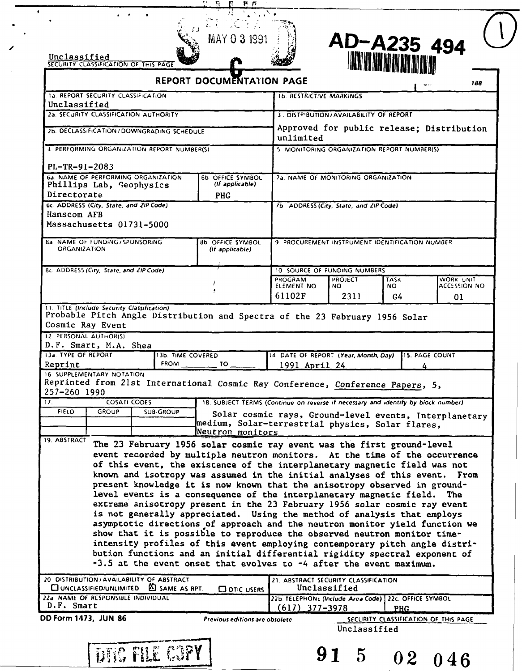| Unclassified                         | WA<br>-----<br><b>AND</b> | <b>SOFT</b> |
|--------------------------------------|---------------------------|-------------|
| SECURITY CLASSIFICATION OF THIS PAGE |                           |             |



| REPORT DOCUMENTATION PAGE |  |
|---------------------------|--|
|                           |  |

ड जे

|                                                                                                 |                                                                                |                   |                                                                                                                                                                                                                                                                                                                                                                                                                                                                                                                                                                                                                                                                                                                                                                                                                                                                                                                                                  |                                                                                          |                               |                          | $\cdots$<br>,,,                                        |
|-------------------------------------------------------------------------------------------------|--------------------------------------------------------------------------------|-------------------|--------------------------------------------------------------------------------------------------------------------------------------------------------------------------------------------------------------------------------------------------------------------------------------------------------------------------------------------------------------------------------------------------------------------------------------------------------------------------------------------------------------------------------------------------------------------------------------------------------------------------------------------------------------------------------------------------------------------------------------------------------------------------------------------------------------------------------------------------------------------------------------------------------------------------------------------------|------------------------------------------------------------------------------------------|-------------------------------|--------------------------|--------------------------------------------------------|
| <b>1a. REPORT SECURITY CLASSIFICATION</b><br>Unclassified                                       |                                                                                |                   |                                                                                                                                                                                                                                                                                                                                                                                                                                                                                                                                                                                                                                                                                                                                                                                                                                                                                                                                                  | <b>1b. RESTRICTIVE MARKINGS</b>                                                          |                               |                          |                                                        |
|                                                                                                 | 2a. SECURITY CLASSIFICATION AUTHORITY                                          |                   |                                                                                                                                                                                                                                                                                                                                                                                                                                                                                                                                                                                                                                                                                                                                                                                                                                                                                                                                                  | 3. DISTP'BUTION/AVAILABILITY OF REPORT                                                   |                               |                          |                                                        |
| 2b. DECLASSIFICATION / DOWNGRADING SCHEDULE                                                     |                                                                                |                   | Approved for public release; Distribution<br>unlimited                                                                                                                                                                                                                                                                                                                                                                                                                                                                                                                                                                                                                                                                                                                                                                                                                                                                                           |                                                                                          |                               |                          |                                                        |
| 4 PERFORMING ORGANIZATION REPORT NUMBER(S)                                                      |                                                                                |                   |                                                                                                                                                                                                                                                                                                                                                                                                                                                                                                                                                                                                                                                                                                                                                                                                                                                                                                                                                  | 5 MONITORING ORGANIZATION REPORT NUMBER(S)                                               |                               |                          |                                                        |
| PL-TR-91-2083                                                                                   |                                                                                |                   |                                                                                                                                                                                                                                                                                                                                                                                                                                                                                                                                                                                                                                                                                                                                                                                                                                                                                                                                                  |                                                                                          |                               |                          |                                                        |
| 6a. NAME OF PERFORMING ORGANIZATION<br>Phillips Lab, Geophysics                                 |                                                                                |                   | 6b OFFICE SYMBOL<br>(If applicable)                                                                                                                                                                                                                                                                                                                                                                                                                                                                                                                                                                                                                                                                                                                                                                                                                                                                                                              | 7a. NAME OF MONITORING ORGANIZATION                                                      |                               |                          |                                                        |
| Directorate                                                                                     |                                                                                |                   | <b>PHG</b>                                                                                                                                                                                                                                                                                                                                                                                                                                                                                                                                                                                                                                                                                                                                                                                                                                                                                                                                       |                                                                                          |                               |                          |                                                        |
| bc. ADDRESS (City, State, and ZIP Code)<br>Hanscom AFB                                          |                                                                                |                   |                                                                                                                                                                                                                                                                                                                                                                                                                                                                                                                                                                                                                                                                                                                                                                                                                                                                                                                                                  | 7b. ADDRESS (City, State, and ZIP Code).                                                 |                               |                          |                                                        |
| Massachusetts 01731-5000                                                                        |                                                                                |                   |                                                                                                                                                                                                                                                                                                                                                                                                                                                                                                                                                                                                                                                                                                                                                                                                                                                                                                                                                  |                                                                                          |                               |                          |                                                        |
| <b>ORGANIZATION</b>                                                                             | <b>8a NAME OF FUNDING / SPONSORING</b><br>8b. OFFICE SYMBOL<br>(If applicable) |                   |                                                                                                                                                                                                                                                                                                                                                                                                                                                                                                                                                                                                                                                                                                                                                                                                                                                                                                                                                  | 9 PROCUREMENT INSTRUMENT IDENTIFICATION NUMBER                                           |                               |                          |                                                        |
| 8c. ADDRESS (City, State, and ZIP Code)                                                         |                                                                                |                   |                                                                                                                                                                                                                                                                                                                                                                                                                                                                                                                                                                                                                                                                                                                                                                                                                                                                                                                                                  | 10 SOURCE OF FUNDING NUMBERS                                                             |                               |                          |                                                        |
|                                                                                                 |                                                                                |                   |                                                                                                                                                                                                                                                                                                                                                                                                                                                                                                                                                                                                                                                                                                                                                                                                                                                                                                                                                  | PROGRAM<br>ELEMENT NO<br>61102F                                                          | <b>PROJECT</b><br>NO.<br>2311 | <b>TASK</b><br>NO.<br>G4 | WORK UNIT<br>ACCESSION NO<br>01                        |
| 11. TITLE (Include Security Classification)                                                     |                                                                                |                   |                                                                                                                                                                                                                                                                                                                                                                                                                                                                                                                                                                                                                                                                                                                                                                                                                                                                                                                                                  |                                                                                          |                               |                          |                                                        |
| Probable Pitch Angle Distribution and Spectra of the 23 February 1956 Solar<br>Cosmic Ray Event |                                                                                |                   |                                                                                                                                                                                                                                                                                                                                                                                                                                                                                                                                                                                                                                                                                                                                                                                                                                                                                                                                                  |                                                                                          |                               |                          |                                                        |
| 12 PERSONAL AUTHOR(S)<br>D.F. Smart, M.A. Shea                                                  |                                                                                |                   |                                                                                                                                                                                                                                                                                                                                                                                                                                                                                                                                                                                                                                                                                                                                                                                                                                                                                                                                                  |                                                                                          |                               |                          |                                                        |
| 13a. TYPE OF REPORT                                                                             |                                                                                | 13b. TIME COVERED |                                                                                                                                                                                                                                                                                                                                                                                                                                                                                                                                                                                                                                                                                                                                                                                                                                                                                                                                                  | 14 DATE OF REPORT (Year, Month, Day)                                                     |                               |                          | <b>115. PAGE COUNT</b>                                 |
| Reprint<br>16 SUPPLEMENTARY NOTATION                                                            |                                                                                | <b>FROM</b>       | TO.                                                                                                                                                                                                                                                                                                                                                                                                                                                                                                                                                                                                                                                                                                                                                                                                                                                                                                                                              | 1991 April 24                                                                            |                               |                          |                                                        |
| Reprinted from 21st International Cosmic Ray Conference, Conference Papers, 5,                  |                                                                                |                   |                                                                                                                                                                                                                                                                                                                                                                                                                                                                                                                                                                                                                                                                                                                                                                                                                                                                                                                                                  |                                                                                          |                               |                          |                                                        |
| 257-260 1990<br>17.                                                                             | <b>COSATI CODES</b>                                                            |                   | 18. SUBJECT TERMS (Continue on reverse if necessary and identify by block number)                                                                                                                                                                                                                                                                                                                                                                                                                                                                                                                                                                                                                                                                                                                                                                                                                                                                |                                                                                          |                               |                          |                                                        |
| <b>FIELD</b><br><b>GROUP</b>                                                                    |                                                                                | <b>SUB-GROUP</b>  |                                                                                                                                                                                                                                                                                                                                                                                                                                                                                                                                                                                                                                                                                                                                                                                                                                                                                                                                                  |                                                                                          |                               |                          | Solar cosmic rays, Ground-level events, Interplanetary |
|                                                                                                 |                                                                                |                   | medium, Solar-terrestrial physics, Solar flares,<br>Neutron monitors                                                                                                                                                                                                                                                                                                                                                                                                                                                                                                                                                                                                                                                                                                                                                                                                                                                                             |                                                                                          |                               |                          |                                                        |
| 19. ABSTRACT                                                                                    |                                                                                |                   | The 23 February 1956 solar cosmic ray event was the first ground-level                                                                                                                                                                                                                                                                                                                                                                                                                                                                                                                                                                                                                                                                                                                                                                                                                                                                           |                                                                                          |                               |                          |                                                        |
|                                                                                                 |                                                                                |                   | event recorded by multiple neutron monitors. At the time of the occurrence<br>of this event, the existence of the interplanetary magnetic field was not<br>known and isotropy was assumed in the initial analyses of this event. From<br>present knowledge it is now known that the anisotropy observed in ground-<br>level events is a consequence of the interplanetary magnetic field.<br>extreme anisotropy present in the 23 February 1956 solar cosmic ray event<br>is not generally appreciated. Using the method of analysis that employs<br>asymptotic directions of approach and the neutron monitor yield function we<br>show that it is possible to reproduce the observed neutron monitor time-<br>intensity profiles of this event employing contemporary pitch angle distri-<br>bution functions and an initial differential rigidity spectral exponent of<br>-3.5 at the event onset that evolves to -4 after the event maximum. |                                                                                          |                               |                          | The                                                    |
| 20 DISTRIBUTION / AVAILABILITY OF ABSTRACT                                                      |                                                                                |                   |                                                                                                                                                                                                                                                                                                                                                                                                                                                                                                                                                                                                                                                                                                                                                                                                                                                                                                                                                  | 21. ABSTRACT SECURITY CLASSIFICATION                                                     |                               |                          |                                                        |
| UNCLASSIFIED/UNLIMITED<br>22a NAME OF RESPONSIBLE INDIVIDUAL<br>D.F. Smart                      |                                                                                | ED SAME AS RPT.   | <b>CO DTIC USERS</b>                                                                                                                                                                                                                                                                                                                                                                                                                                                                                                                                                                                                                                                                                                                                                                                                                                                                                                                             | Unclassified<br>22b. TELEPHONE (Include Area Code) 22c. OFFICE SYMBOL<br>$617)$ 377-3978 |                               |                          |                                                        |
| DD Form 1473, JUN 86                                                                            |                                                                                |                   | Previous editions are obsolete.                                                                                                                                                                                                                                                                                                                                                                                                                                                                                                                                                                                                                                                                                                                                                                                                                                                                                                                  |                                                                                          |                               | PHG                      | SECURITY CLASSIFICATION OF THIS PAGE                   |
|                                                                                                 |                                                                                |                   |                                                                                                                                                                                                                                                                                                                                                                                                                                                                                                                                                                                                                                                                                                                                                                                                                                                                                                                                                  |                                                                                          | Unclassified                  |                          |                                                        |
|                                                                                                 | DIC FILE COPY                                                                  |                   |                                                                                                                                                                                                                                                                                                                                                                                                                                                                                                                                                                                                                                                                                                                                                                                                                                                                                                                                                  |                                                                                          | 91<br>$5^{\circ}$             | 02 <sub>1</sub>          | 046                                                    |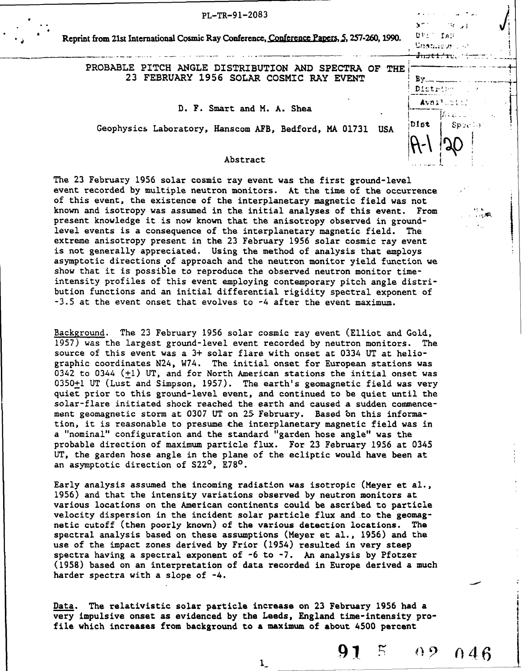| PL-TR-91-2083                                                                                   |                                               | and the company of the company of   |  |
|-------------------------------------------------------------------------------------------------|-----------------------------------------------|-------------------------------------|--|
| Reprint from 21st International Cosmic Ray Conference, Conference Papers, 5, 257-260, 1990.     | NT 1.<br>$23.1 - 270$<br><del>Justiru</del> . | $\sim 10^{11}$ keV<br>Unamiestro st |  |
| PROBABLE PITCH ANGLE DISTRIBUTION AND SPECTRA OF THE<br>23 FEBRUARY 1956 SOLAR COSMIC RAY EVENT |                                               | Distribution                        |  |
| D. F. Smart and M. A. Shea<br>$\bullet$                                                         |                                               | Availebian                          |  |
| Geophysics Laboratory, Hanscom AFB, Bedford, MA 01731 USA                                       | Dist                                          | Sp2(1)                              |  |
| Abstract                                                                                        |                                               |                                     |  |

|<br>|<br>|<br>|<br>|

The **23** February 1956 solar cosmic ray event was the first ground-level event recorded **by** multiple neutron monitors. At the time of the occurrence of this event, the existence of the interplanetary magnetic field was not known and isotropy was assumed in the initial analyses of this event. From present knowledge it is now known that the anisotropy observed in groundlevel events is a consequence of the interplanetary magnetic field. The extreme anisotropy present in the **23** February **1956** solar cosmic ray event is not generally appreciated. Using the method of analysis that employs asymptotic directions of approach and the neutron monitor yield function we show that it is possible to reproduce the observed neutron monitor timeintensity profiles of this event employing contemporary pitch angle distribution functions and an initial differential rigidity spectral exponent of **-3.5** at the event onset that evolves to -4 after the event maximum.

Background. The **23** February **1956** solar cosmic ray event (Elliot and **Gold, 1957)** was the largest ground-level event recorded **by** neutron monitors. The source of this event was a **3+** solar flare with onset at 0334 **UT** at heliographic coordinates N24, W74. The initial onset for European stations was 0342 to 0344 (+1) **UT,** and for North American stations the initial onset was **0350+1 UT** (Lust and Simpson, **1957).** The earth's geomagnetic field was very quiet prior to this ground-level event, and continued to be quiet until the solar-flare initiated shock reached the earth and caused a sudden commencement geomagnetic storm at **0307 UT** on 25 February. Based bn this information, it is reasonable to presume the interplanetary magnetic field was in a "nominal" configuration and the standard "garden hose angle" was the probable direction of maximum particle flux. For **23** February **1956** at 0345 **UT,** the garden hose angle in the plane of the ecliptic would have been at an asymptotic direction of S22<sup>0</sup>, E78<sup>0</sup>.

Early analysis assumed the incoming radiation was isotropic (Meyer **et** al., **1956)** and that the intensity variations observed by neutron monitors at various locations on the American continents could be ascribed to particle velocity dispersion in the incident solar particle flux and to the geomagnetic cutoff (then poorly known) of the various detection locations. The spectral analysis based on these assumptions (Meyer **et** al., **1956)** and the use of the impact zones derived by Frior (1954) resulted in very steep spectra having a spectral exponent of **-6** to **-7.** An analysis **by** Pfotzer **(1958)** based on an interpretation of data recorded in Europe derived a much harder spectra with a slope of -4.

Data. The relativistic solar particle increase on **23** February **1956** had a very impulsive onset as evidenced **by** the Leeds, England time-intensity profile which increases from background to a maximum of about 4500 percent

 $\mathbf{1}$ 

**91** 5 02 046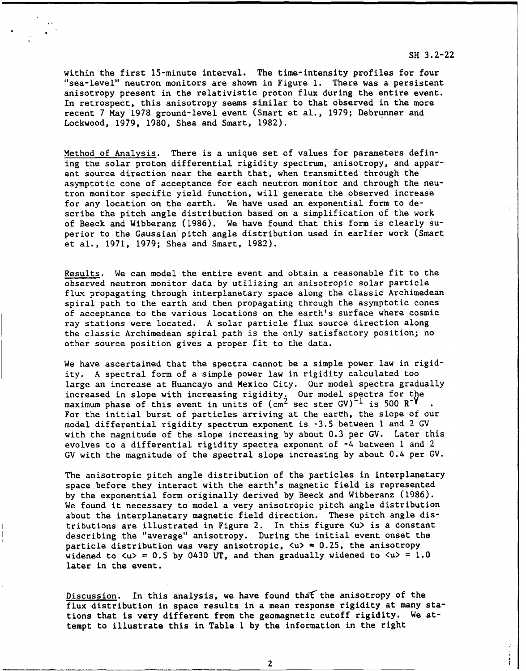## within the first 15-minute interval. The time-intensity profiles for four "sea-level" neutron monitors are shown in Figure **1.** There was a persistent anisotropy present in the relativistic proton flux during the entire event. In retrospect, this anisotropy seems similar to that observed in the more recent 7 May **1978** ground-level event (Smart et al., **1979;** Debrunner and Lockwood, **1979,** 1980, Shea and Smart, 1982).

Method of Analysis. There is a unique set of values for parameters defining the solar proton differential rigidity spectrum, anisotropy, and apparent source direction near the earth that, when transmitted through the asymptotic cone of acceptance for each neutron monitor and through the neutron monitor specific yield function, will generate the observed increase for any location on the earth. We have used an exponential form to describe the pitch angle distribution based on a simplification **of** the work of Beeck and Wibberanz (1986). We have found that this form is clearly superior to the Gaussian pitch angle distribution used in earlier work (Smart et al., 1971, 1979; Shea and Smart, **1982).**

Results. We can model the entire event and obtain a reasonable fit to the observed neutron monitor data by utilizing an anisotropic solar particle flux propagating through interplanetary space along the classic Archimedean spiral path to the earth and then propagating through the asymptotic cones of acceptance to the various locations on the earth's surface where cosmic ray stations were located. A solar particle flux source direction along the classic Archimedean spiral path is the only satisfactory position; no other source position gives a proper fit to the data.

We have ascertained that the spectra cannot be a simple power law in rigidity. A spectral form of a simple power law in rigidity calculated too large an increase at Huancayo and Mexico City. Our model spectra gradually increased in slope with increasing rigidity. Our model spectra for the maximum phase of this event in units of  $(cm^2 \sec \sec \theta V)^{-1}$  is 500  $R^{-1}$ . For the initial burst of particles arriving at the earth, the slope of our model differential rigidity spectrum exponent is **-3.5** between **I** and 2 GV with the magnitude of the slope increasing by about 0.3 per GV. Later this evolves to a differential rigidity spectra exponent of -4 between **1** and 2 GV with the magnitude of the spectral slope increasing by about 0.4 per GV.

The anisotropic pitch angle distribution of the particles in interplanetary space before they interact with the earth's magnetic field is represented by the exponential form originally derived by Beeck and Wibberanz (1986). We found it necessary to model a very anisotropic pitch angle distribution about the interplanetary magnetic field direction. These pitch angle distributions are illustrated in Figure 2. In this figure  $\langle u \rangle$  is a constant describing the "average" anisotropy. During the initial event onset the particle distribution was very anisotropic</u>,  $\langle u \rangle = 0.25$ , the anisotropy widened to  $\langle u \rangle = 0.5$  by 0430 UT, and then gradually widened to  $\langle u \rangle = 1.0$ later in the event.

Discussion. In this analysis, we have found that the anisotropy of the flux distribution in space results in a mean response rigidity at many stations that is very different from the geomagnetic cutoff rigidity. We attempt to illustrate this in Table 1 by the information in the right

## **SH 3.2-22**

 $\ddot{\ddot{\phantom{}}\phantom{}}$ 

2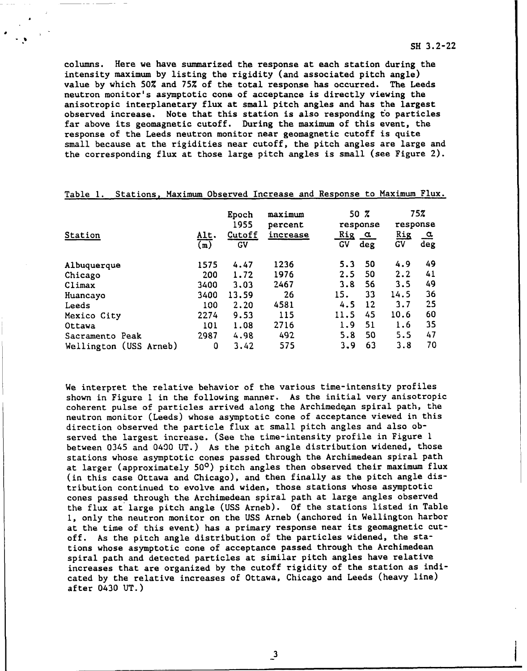columns. Here we have summarized the response at each station during the intensity maximum **by** listing the rigidity (and associated pitch angle) value **by** which **50%** and **75%** of the total response has occurred. The Leeds neutron monitor's asymptotic cone of acceptance is directly viewing the anisotropic interplanetary flux at small pitch angles and has the largest observed increase. Note that this station is also responding to particles far above its geomagnetic cutoff. During the maximum of this event, the response of the Leeds neutron monitor near geomagnetic cutoff is quite small because at the rigidities near cutoff, the pitch angles are large and the corresponding flux at those large pitch angles is small (see Figure 2).

|                        |                                             | Epoch<br>1955 | maximum<br>percent | $50 \, 7$<br>response               |           | 75%<br>response |  |
|------------------------|---------------------------------------------|---------------|--------------------|-------------------------------------|-----------|-----------------|--|
| Station                | <u>Alt</u> .<br>$\overline{(\mathfrak{m})}$ | Cutoff<br>GV  | increase           | <u>Rig</u><br>$\alpha$<br>GV<br>deg | Rig<br>GV | <u>ے</u><br>deg |  |
| Albuquerque            | 1575                                        | 4.47          | 1236               | -50<br>5.3                          | 4.9       | 49              |  |
| Chicago                | 200                                         | 1.72          | 1976               | 2.5<br>50                           | 2.2       | 41              |  |
| Climax                 | 3400                                        | 3.03          | 2467               | 3.8<br>56                           | 3.5       | 49              |  |
| Huancayo               | 3400                                        | 13.59         | 26                 | 33<br>15.                           | 14.5      | 36              |  |
| Leeds                  | 100                                         | 2.20          | 4581               | 12<br>4.5                           | 3.7       | 25              |  |
| Mexico City            | 2274                                        | 9.53          | 115                | 11.5<br>45                          | 10.6      | 60              |  |
| Ottawa                 | 101                                         | 1.08          | 2716               | 51<br>1.9                           | 1.6       | 35              |  |
| Sacramento Peak        | 2987                                        | 4.98          | 492                | 50<br>5.8                           | 5.5       | 47              |  |
| Wellington (USS Arneb) | 0                                           | 3.42          | 575                | 63<br>3.9                           | 3.8       | 70              |  |

Table **1.** Stations, Maximum Observed Increase and Response to Maximum Flux.

We interpret the relative behavior of the various time-intensity profiles shown in Figure 1 in the following manner. As the initial very anisotropic coherent pulse of particles arrived along the Archimedean spiral path, the neutron monitor (Leeds) whose asymptotic cone of acceptance viewed in this direction observed the particle flux at small pitch angles and also observed the largest increase. (See the time-intensity profile in Figure **1** between 0345 and 0400 UT.) As the pitch angle distribution widened, those stations whose asymptotic cones passed through the Archimedean spiral path at larger (approximately **500)** pitch angles then observed their maximum flux (in this case Ottawa and Chicago), and then finally as the pitch angle distribution continued to evolve and widen, those stations whose asymptotic cones passed through the Archimedean spiral path at large angles observed the flux at large pitch angle (USS Arneb). Of the stations listed in Table **1,** only the neutron monitor on the **USS** Arneb (anchored in Wellington harbor at the time of this event) has a primary response near its geomagnetic cutoff. As the pitch angle distribution of the particles widened, the stations whose asymptotic cone of acceptance passed through the Archimedean spiral path and detected particles at similar pitch angles have relative increases that are organized by the cutoff rigidity of the station as indicated by the relative increases of Ottawa, Chicago and Leeds (heavy line) after 0430 UT.)

**-3**